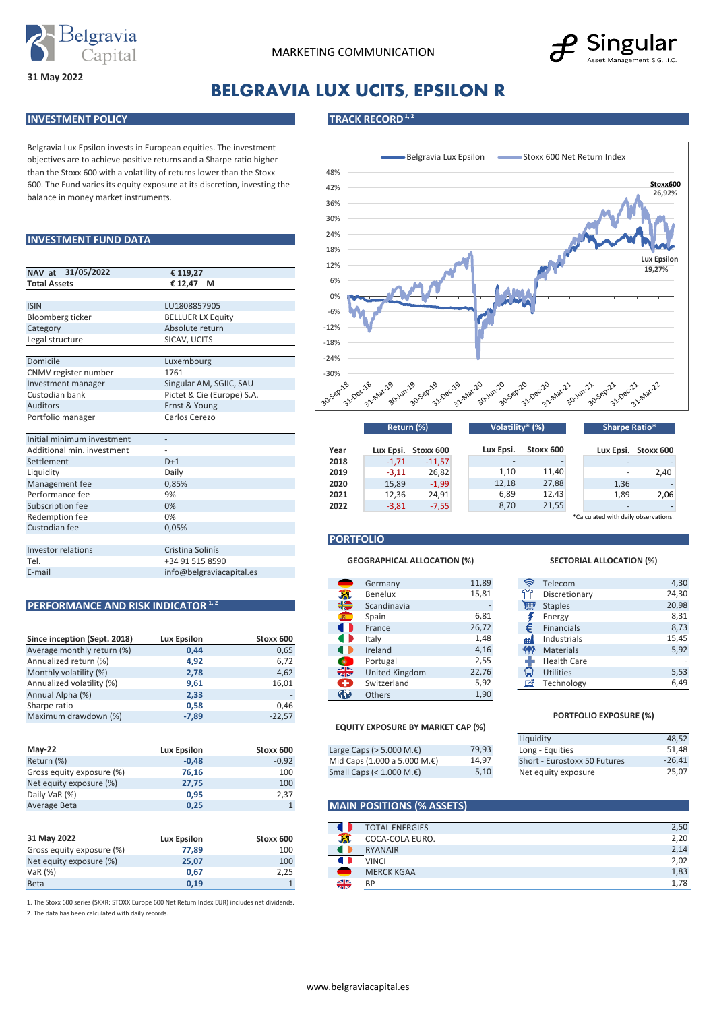



# **BELGRAVIA LUX UCITS, EPSILON R**

#### **INVESTMENT POLICY TRACK RECORD**<sup>1,2</sup>

**31 May 2022**

Belgravia Lux Epsilon invests in European equities. The investment objectives are to achieve positive returns and a Sharpe ratio higher than the Stoxx 600 with a volatility of returns lower than the Stoxx 600. The Fund varies its equity exposure at its discretion, investing the balance in money market instruments.

### **INVESTMENT FUND DATA**

| NAV at 31/05/2022          | € 119,27                   |  |  |  |  |  |
|----------------------------|----------------------------|--|--|--|--|--|
| <b>Total Assets</b>        | € 12,47<br>м               |  |  |  |  |  |
|                            |                            |  |  |  |  |  |
| <b>ISIN</b>                | LU1808857905               |  |  |  |  |  |
| Bloomberg ticker           | <b>BELLUER LX Equity</b>   |  |  |  |  |  |
| Category                   | Absolute return            |  |  |  |  |  |
| Legal structure            | SICAV, UCITS               |  |  |  |  |  |
|                            |                            |  |  |  |  |  |
| Domicile                   | Luxembourg                 |  |  |  |  |  |
| CNMV register number       | 1761                       |  |  |  |  |  |
| Investment manager         | Singular AM, SGIIC, SAU    |  |  |  |  |  |
| Custodian bank             | Pictet & Cie (Europe) S.A. |  |  |  |  |  |
| <b>Auditors</b>            | Ernst & Young              |  |  |  |  |  |
| Portfolio manager          | Carlos Cerezo              |  |  |  |  |  |
|                            |                            |  |  |  |  |  |
| Initial minimum investment |                            |  |  |  |  |  |
| Additional min. investment |                            |  |  |  |  |  |
| Settlement                 | $D+1$                      |  |  |  |  |  |
| Liquidity                  | Daily                      |  |  |  |  |  |
| Management fee             | 0,85%                      |  |  |  |  |  |
| Performance fee            | 9%                         |  |  |  |  |  |
| Subscription fee           | 0%                         |  |  |  |  |  |
| Redemption fee             | 0%                         |  |  |  |  |  |
| Custodian fee              | 0,05%                      |  |  |  |  |  |
|                            |                            |  |  |  |  |  |
| <b>Investor relations</b>  | Cristina Solinís           |  |  |  |  |  |
| Tel.                       | +34 91 515 8590            |  |  |  |  |  |
| E-mail                     | info@belgraviacapital.es   |  |  |  |  |  |

|                              |                    |           |            |                | $ \sim$ |           |                    |
|------------------------------|--------------------|-----------|------------|----------------|---------|-----------|--------------------|
| Since inception (Sept. 2018) | <b>Lux Epsilon</b> | Stoxx 600 |            | Italy          | 1,48    | Æ         | Industrials        |
| Average monthly return (%)   | 0,44               | 0,65      |            | Ireland        | 4,16    | <b>KA</b> | <b>Materials</b>   |
| Annualized return (%)        | 4,92               | 6,72      | $\bullet$  | Portugal       | 2,55    |           | <b>Health Care</b> |
| Monthly volatility (%)       | 2,78               | 4,62      | ₩          | United Kingdom | 22,76   | G         | <b>Utilities</b>   |
| Annualized volatility (%)    | 9,61               | 16.01     | ÷          | Switzerland    | 5,92    | 岡         | Technology         |
| Annual Alpha (%)             | 2,33               |           | $\sqrt{2}$ | <b>Others</b>  | 1,90    |           |                    |
| Sharpe ratio                 | 0,58               | 0.46      |            |                |         |           |                    |
| Maximum drawdown (%)         | $-7,89$            | $-22,57$  |            |                |         |           | <b>PORTFO</b>      |

|                           |                    |           |                                        |       | Eiguiaity                    |
|---------------------------|--------------------|-----------|----------------------------------------|-------|------------------------------|
| <b>May-22</b>             | <b>Lux Epsilon</b> | Stoxx 600 | Large Caps ( $>$ 5.000 M. $\epsilon$ ) | 79,93 | Long - Equities              |
| Return (%)                | $-0,48$            | $-0,92$   | Mid Caps (1.000 a 5.000 M.€)           | 14.97 | Short - Eurostoxx 50 Futures |
| Gross equity exposure (%) | 76,16              | 100       | Small Caps $(1.000 \, \text{M.E})$     | 5,10  | Net equity exposure          |
| Net equity exposure (%)   | 27,75              | 100       |                                        |       |                              |
| Daily VaR (%)             | 0,95               | 2,37      |                                        |       |                              |
| Average Beta              | 0,25               |           | <b>MAIN POSITIONS (% ASSETS)</b>       |       |                              |

| 31 May 2022               | <b>Lux Epsilon</b> | Stoxx 600 |   | COCA-COLA EURO.   |
|---------------------------|--------------------|-----------|---|-------------------|
| Gross equity exposure (%) | 77.89              | 100       |   | <b>RYANAIR</b>    |
| Net equity exposure (%)   | 25.07              | 100       |   | <b>VINCI</b>      |
| VaR $(%)$                 | 0.67               | 2,25      |   | <b>MERCK KGAA</b> |
| <b>Beta</b>               | 0.19               |           | ╬ | <b>BP</b>         |

1. The Stoxx 600 series (SXXR: STOXX Europe 600 Net Return Index EUR) includes net dividends.

2. The data has been calculated with daily records.



|                            |       |      |         |                     | $\cdots$  |           | $-1.01$ $-1.01$                      |                     |
|----------------------------|-------|------|---------|---------------------|-----------|-----------|--------------------------------------|---------------------|
| Initial minimum investment |       |      |         |                     |           |           |                                      |                     |
| Additional min. investment |       | Year |         | Lux Epsi. Stoxx 600 | Lux Epsi. | Stoxx 600 |                                      | Lux Epsi. Stoxx 600 |
| Settlement                 | $D+1$ | 2018 | $-1,71$ | $-11,57$            |           |           |                                      |                     |
| Liquidity                  | Dailv | 2019 | $-3,11$ | 26,82               | 1,10      | 11.40     |                                      | 2,40                |
| Management fee             | 0.85% | 2020 | 15,89   | $-1,99$             | 12,18     | 27,88     | 1,36                                 |                     |
| Performance fee            | 9%    | 2021 | 12,36   | 24,91               | 6,89      | 12,43     | 1,89                                 | 2,06                |
| Subscription fee           | 0%    | 2022 | $-3,81$ | $-7,55$             | 8,70      | 21,55     |                                      |                     |
| Redemption fee             | 0%    |      |         |                     |           |           | *Calculated with daily observations. |                     |

### **PORTFOLIO**

#### **GEOGRAPHICAL ALLOCATION (%) SECTORIAL ALLOCATION (%)**

|                                               |                    |           |                                                                   | Germany        | 11,89 | $\hat{z}$ | Telecom            |
|-----------------------------------------------|--------------------|-----------|-------------------------------------------------------------------|----------------|-------|-----------|--------------------|
|                                               |                    |           | - 1                                                               | Benelux        | 15,81 | برس       | Discretionary      |
| PERFORMANCE AND RISK INDICATOR <sup>1,2</sup> |                    |           | ₩                                                                 | Scandinavia    |       | 扁         | <b>Staples</b>     |
|                                               |                    |           |                                                                   | Spain          | 6,81  |           | Energy             |
|                                               |                    |           |                                                                   | France         | 26,72 | €         | Financials         |
| Since inception (Sept. 2018)                  | <b>Lux Epsilon</b> | Stoxx 600 | O                                                                 | Italy          | 1,48  | m         | Industrials        |
| Average monthly return (%)                    | 0,44               | 0,65      |                                                                   | Ireland        | 4,16  | 伶         | <b>Materials</b>   |
| Annualized return (%)                         | 4,92               | 6,72      | $\bullet$                                                         | Portugal       | 2,55  |           | <b>Health Care</b> |
| Monthly volatility (%)                        | 2,78               | 4,62      | ╬                                                                 | United Kingdom | 22,76 | G         | <b>Utilities</b>   |
| Annualized volatility (%)                     | 9,61               | 16,01     | $\left( \begin{array}{c} \text{ }\\ \text{ } \end{array} \right)$ | Switzerland    | 5,92  | 凾         | Technology         |
| Annual Alpha (%)                              | 2,33               |           | $\left( \mathbf{r}\right)$                                        | Others         | 1,90  |           |                    |

#### **EQUITY EXPOSURE BY MARKET CAP (%)**

|             |           |                                        |       | Liquidity       |
|-------------|-----------|----------------------------------------|-------|-----------------|
| Lux Epsilon | Stoxx 600 | Large Caps ( $>$ 5.000 M. $\epsilon$ ) | 79,93 | Long - Equities |
| $-0.48$     | $-0.92$   | Mid Caps $(1.000 a 5.000 M.E)$         | 14.97 | Short - Eurosto |
| 76.16       | 100       | Small Caps (< $1.000$ M. $\epsilon$ )  | 5,10  | Net equity exp  |

#### **MAIN POSITIONS (% ASSETS)**

|           | <b>TOTAL ENERGIES</b> | 2,50 |
|-----------|-----------------------|------|
|           | COCA-COLA EURO.       | 2,20 |
| ш         | <b>RYANAIR</b>        | 2,14 |
| ш         | <b>VINCI</b>          | 2,02 |
|           | <b>MERCK KGAA</b>     | 1,83 |
| 신제<br>zir | <b>BP</b>             | 1,78 |
|           |                       |      |

| $\left( 0, \frac{\sqrt{2}}{2} \right)$ | Telecom            | 4,30  |
|----------------------------------------|--------------------|-------|
|                                        | Discretionary      | 24,30 |
| ₩                                      | <b>Staples</b>     | 20,98 |
| 1                                      | Energy             | 8,31  |
| €                                      | <b>Financials</b>  | 8,73  |
| Ħ۱                                     | Industrials        | 15,45 |
| ۳                                      | <b>Materials</b>   | 5,92  |
|                                        | <b>Health Care</b> |       |
| ٣                                      | <b>Utilities</b>   | 5,53  |
| z,                                     | Technology         | 6,49  |

#### **PORTFOLIO EXPOSURE (%)**

| Liquidity                    | 48.52    |
|------------------------------|----------|
| Long - Equities              | 51.48    |
| Short - Eurostoxx 50 Futures | $-26.41$ |
| Net equity exposure          | 25.07    |